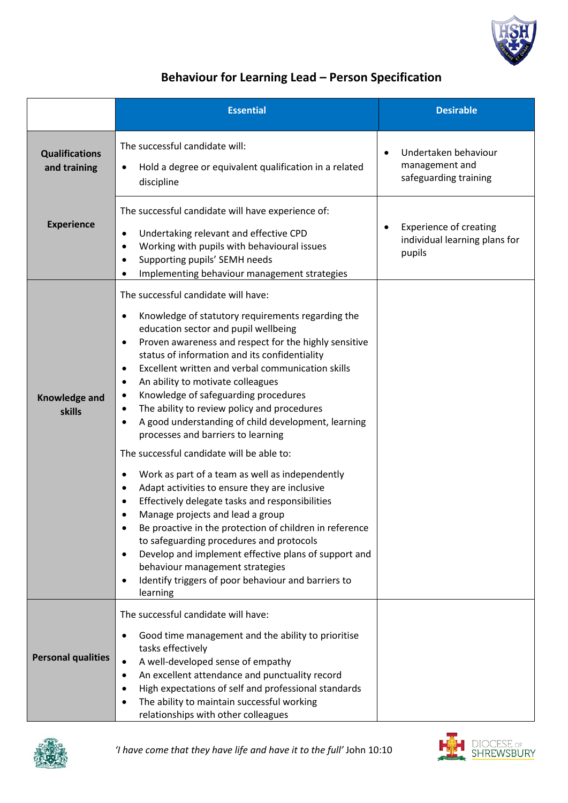

## **Behaviour for Learning Lead – Person Specification**

|                                       | <b>Essential</b>                                                                                                                                                                                                                                                                                                                                                                                                                                                                                                                                                                                                                                                                                                                                                                                                                                                                                                                                                                                                                                                                                                                                               | <b>Desirable</b>                                                         |
|---------------------------------------|----------------------------------------------------------------------------------------------------------------------------------------------------------------------------------------------------------------------------------------------------------------------------------------------------------------------------------------------------------------------------------------------------------------------------------------------------------------------------------------------------------------------------------------------------------------------------------------------------------------------------------------------------------------------------------------------------------------------------------------------------------------------------------------------------------------------------------------------------------------------------------------------------------------------------------------------------------------------------------------------------------------------------------------------------------------------------------------------------------------------------------------------------------------|--------------------------------------------------------------------------|
| <b>Qualifications</b><br>and training | The successful candidate will:<br>Hold a degree or equivalent qualification in a related<br>discipline                                                                                                                                                                                                                                                                                                                                                                                                                                                                                                                                                                                                                                                                                                                                                                                                                                                                                                                                                                                                                                                         | Undertaken behaviour<br>management and<br>safeguarding training          |
| <b>Experience</b>                     | The successful candidate will have experience of:<br>Undertaking relevant and effective CPD<br>٠<br>Working with pupils with behavioural issues<br>$\bullet$<br>Supporting pupils' SEMH needs<br>$\bullet$<br>Implementing behaviour management strategies<br>٠                                                                                                                                                                                                                                                                                                                                                                                                                                                                                                                                                                                                                                                                                                                                                                                                                                                                                                | <b>Experience of creating</b><br>individual learning plans for<br>pupils |
| <b>Knowledge and</b><br>skills        | The successful candidate will have:<br>Knowledge of statutory requirements regarding the<br>٠<br>education sector and pupil wellbeing<br>Proven awareness and respect for the highly sensitive<br>$\bullet$<br>status of information and its confidentiality<br>Excellent written and verbal communication skills<br>$\bullet$<br>An ability to motivate colleagues<br>٠<br>Knowledge of safeguarding procedures<br>$\bullet$<br>The ability to review policy and procedures<br>$\bullet$<br>A good understanding of child development, learning<br>٠<br>processes and barriers to learning<br>The successful candidate will be able to:<br>Work as part of a team as well as independently<br>$\bullet$<br>Adapt activities to ensure they are inclusive<br>$\bullet$<br>Effectively delegate tasks and responsibilities<br>$\bullet$<br>Manage projects and lead a group<br>٠<br>Be proactive in the protection of children in reference<br>to safeguarding procedures and protocols<br>Develop and implement effective plans of support and<br>٠<br>behaviour management strategies<br>Identify triggers of poor behaviour and barriers to<br>٠<br>learning |                                                                          |
| <b>Personal qualities</b>             | The successful candidate will have:<br>Good time management and the ability to prioritise<br>$\bullet$<br>tasks effectively<br>A well-developed sense of empathy<br>$\bullet$<br>An excellent attendance and punctuality record<br>High expectations of self and professional standards<br>The ability to maintain successful working<br>٠<br>relationships with other colleagues                                                                                                                                                                                                                                                                                                                                                                                                                                                                                                                                                                                                                                                                                                                                                                              |                                                                          |



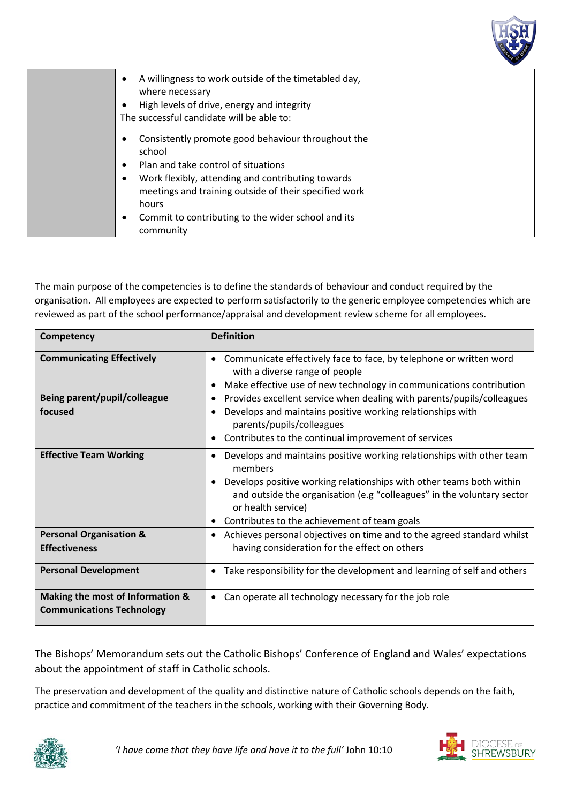

| A willingness to work outside of the timetabled day,<br>٠<br>where necessary<br>High levels of drive, energy and integrity<br>The successful candidate will be able to:                                                    |  |
|----------------------------------------------------------------------------------------------------------------------------------------------------------------------------------------------------------------------------|--|
| Consistently promote good behaviour throughout the<br>school<br>Plan and take control of situations<br>Work flexibly, attending and contributing towards<br>meetings and training outside of their specified work<br>hours |  |
| Commit to contributing to the wider school and its<br>community                                                                                                                                                            |  |

The main purpose of the competencies is to define the standards of behaviour and conduct required by the organisation. All employees are expected to perform satisfactorily to the generic employee competencies which are reviewed as part of the school performance/appraisal and development review scheme for all employees.

| Competency                                                           | <b>Definition</b>                                                                                                                                                                                                                                                                                          |
|----------------------------------------------------------------------|------------------------------------------------------------------------------------------------------------------------------------------------------------------------------------------------------------------------------------------------------------------------------------------------------------|
| <b>Communicating Effectively</b>                                     | Communicate effectively face to face, by telephone or written word<br>with a diverse range of people<br>Make effective use of new technology in communications contribution                                                                                                                                |
| Being parent/pupil/colleague                                         | Provides excellent service when dealing with parents/pupils/colleagues                                                                                                                                                                                                                                     |
| focused                                                              | Develops and maintains positive working relationships with<br>parents/pupils/colleagues                                                                                                                                                                                                                    |
|                                                                      | Contributes to the continual improvement of services                                                                                                                                                                                                                                                       |
| <b>Effective Team Working</b>                                        | Develops and maintains positive working relationships with other team<br>members<br>Develops positive working relationships with other teams both within<br>and outside the organisation (e.g "colleagues" in the voluntary sector<br>or health service)<br>• Contributes to the achievement of team goals |
| <b>Personal Organisation &amp;</b><br><b>Effectiveness</b>           | Achieves personal objectives on time and to the agreed standard whilst<br>٠<br>having consideration for the effect on others                                                                                                                                                                               |
| <b>Personal Development</b>                                          | Take responsibility for the development and learning of self and others                                                                                                                                                                                                                                    |
| Making the most of Information &<br><b>Communications Technology</b> | Can operate all technology necessary for the job role<br>٠                                                                                                                                                                                                                                                 |

The Bishops' Memorandum sets out the Catholic Bishops' Conference of England and Wales' expectations about the appointment of staff in Catholic schools.

The preservation and development of the quality and distinctive nature of Catholic schools depends on the faith, practice and commitment of the teachers in the schools, working with their Governing Body.